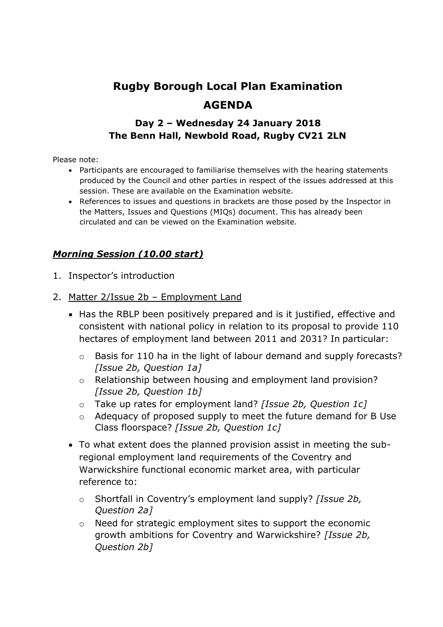# **Rugby Borough Local Plan Examination AGENDA**

## **Day 2 – Wednesday 24 January 2018 The Benn Hall, Newbold Road, Rugby CV21 2LN**

Please note:

- Participants are encouraged to familiarise themselves with the hearing statements produced by the Council and other parties in respect of the issues addressed at this session. These are available on the Examination website.
- References to issues and questions in brackets are those posed by the Inspector in the Matters, Issues and Questions (MIQs) document. This has already been circulated and can be viewed on the Examination website.

### *Morning Session (10.00 start)*

- 1. Inspector's introduction
- 2. Matter 2/Issue 2b Employment Land
	- Has the RBLP been positively prepared and is it justified, effective and consistent with national policy in relation to its proposal to provide 110 hectares of employment land between 2011 and 2031? In particular:
		- o Basis for 110 ha in the light of labour demand and supply forecasts? *[Issue 2b, Question 1a]*
		- o Relationship between housing and employment land provision? *[Issue 2b, Question 1b]*
		- o Take up rates for employment land? *[Issue 2b, Question 1c]*
		- o Adequacy of proposed supply to meet the future demand for B Use Class floorspace? *[Issue 2b, Question 1c]*
	- To what extent does the planned provision assist in meeting the subregional employment land requirements of the Coventry and Warwickshire functional economic market area, with particular reference to:
		- o Shortfall in Coventry's employment land supply? *[Issue 2b, Question 2a]*
		- o Need for strategic employment sites to support the economic growth ambitions for Coventry and Warwickshire? *[Issue 2b, Question 2b]*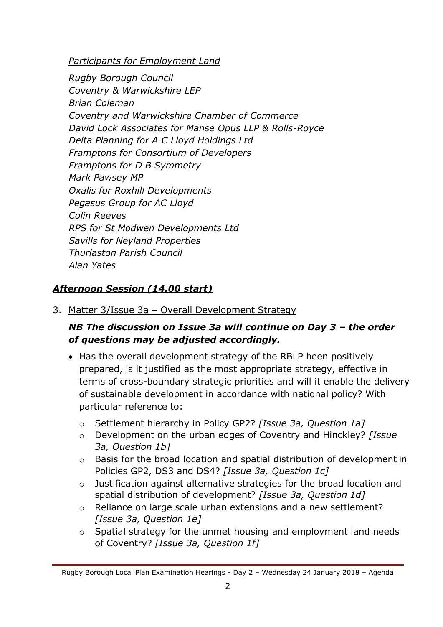*Participants for Employment Land*

*Rugby Borough Council Coventry & Warwickshire LEP Brian Coleman Coventry and Warwickshire Chamber of Commerce David Lock Associates for Manse Opus LLP & Rolls-Royce Delta Planning for A C Lloyd Holdings Ltd Framptons for Consortium of Developers Framptons for D B Symmetry Mark Pawsey MP Oxalis for Roxhill Developments Pegasus Group for AC Lloyd Colin Reeves RPS for St Modwen Developments Ltd Savills for Neyland Properties Thurlaston Parish Council Alan Yates*

## *Afternoon Session (14.00 start)*

3. Matter 3/Issue 3a – Overall Development Strategy

## *NB The discussion on Issue 3a will continue on Day 3 – the order of questions may be adjusted accordingly.*

- Has the overall development strategy of the RBLP been positively prepared, is it justified as the most appropriate strategy, effective in terms of cross-boundary strategic priorities and will it enable the delivery of sustainable development in accordance with national policy? With particular reference to:
	- o Settlement hierarchy in Policy GP2? *[Issue 3a, Question 1a]*
	- o Development on the urban edges of Coventry and Hinckley? *[Issue 3a, Question 1b]*
	- o Basis for the broad location and spatial distribution of development in Policies GP2, DS3 and DS4? *[Issue 3a, Question 1c]*
	- o Justification against alternative strategies for the broad location and spatial distribution of development? *[Issue 3a, Question 1d]*
	- o Reliance on large scale urban extensions and a new settlement? *[Issue 3a, Question 1e]*
	- o Spatial strategy for the unmet housing and employment land needs of Coventry? *[Issue 3a, Question 1f]*

Rugby Borough Local Plan Examination Hearings - Day 2 – Wednesday 24 January 2018 – Agenda